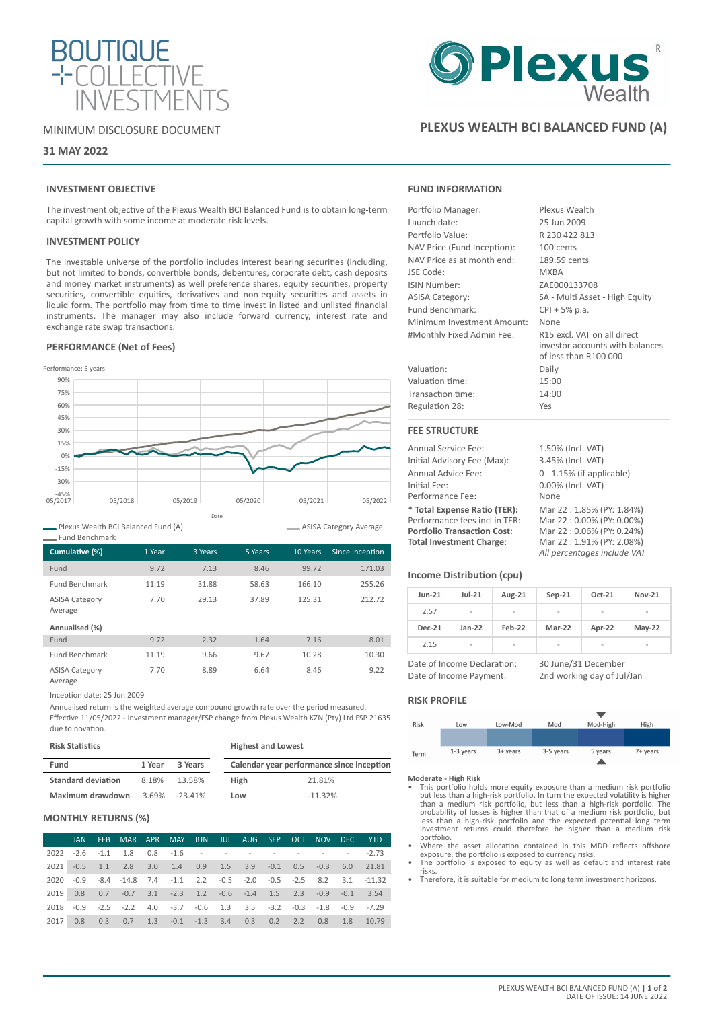

### MINIMUM DISCLOSURE DOCUMENT

### **31 MAY 2022**

# **INVESTMENT OBJECTIVE**

The investment objective of the Plexus Wealth BCI Balanced Fund is to obtain long-term capital growth with some income at moderate risk levels.

### **INVESTMENT POLICY**

The investable universe of the portfolio includes interest bearing securities (including, but not limited to bonds, convertible bonds, debentures, corporate debt, cash deposits and money market instruments) as well preference shares, equity securities, property securities, convertible equities, derivatives and non-equity securities and assets in liquid form. The portfolio may from time to time invest in listed and unlisted financial instruments. The manager may also include forward currency, interest rate and exchange rate swap transactions.

### **PERFORMANCE (Net of Fees)**



Plexus Wealth BCI Balanced Fund (A)

| Cumulative (%)                                     | 1 Year | 3 Years | 5 Years | 10 Years | Since Inception |
|----------------------------------------------------|--------|---------|---------|----------|-----------------|
| Fund                                               | 9.72   | 7.13    | 8.46    | 99.72    | 171.03          |
| <b>Fund Benchmark</b>                              | 11.19  | 31.88   | 58.63   | 166.10   | 255.26          |
| <b>ASISA Category</b><br>Average<br>Annualised (%) | 7.70   | 29.13   | 37.89   | 125.31   | 212.72          |
| Fund                                               | 9.72   | 2.32    | 1.64    | 7.16     | 8.01            |
| <b>Fund Benchmark</b>                              | 11.19  | 9.66    | 9.67    | 10.28    | 10.30           |
| <b>ASISA Category</b><br>Average                   | 7.70   | 8.89    | 6.64    | 8.46     | 9.22            |

Inception date: 25 Jun 2009

Annualised return is the weighted average compound growth rate over the period measured.

Effective 11/05/2022 - Investment manager/FSP change from Plexus Wealth KZN (Pty) Ltd FSP 21635 due to novation.

| <b>Risk Statistics</b>    |        |                      | <b>Highest and Lowest</b> |                                           |
|---------------------------|--------|----------------------|---------------------------|-------------------------------------------|
| Fund                      | 1 Year | 3 Years              |                           | Calendar year performance since inception |
| <b>Standard deviation</b> | 8.18%  | 13.58%               | High                      | 21.81%                                    |
| Maximum drawdown          |        | $-3.69\%$ $-23.41\%$ | Low                       | $-11.32%$                                 |

### **MONTHLY RETURNS (%)**

|      | JAN | FEB MAR APR MAY JUN JUL AUG SEP OCT NOV DEC YTD                     |  |  |  |  |                                                                      |
|------|-----|---------------------------------------------------------------------|--|--|--|--|----------------------------------------------------------------------|
|      |     | $2022 - 2.6 - 1.1$ 1.8 0.8 $-1.6$ - - - - - - - - - - 2.73          |  |  |  |  |                                                                      |
|      |     | 2021 -0.5 1.1 2.8 3.0 1.4 0.9 1.5 3.9 -0.1 0.5 -0.3 6.0 21.81       |  |  |  |  |                                                                      |
|      |     |                                                                     |  |  |  |  | 2020 -0.9 -8.4 -14.8 7.4 -1.1 2.2 -0.5 -2.0 -0.5 -2.5 8.2 3.1 -11.32 |
|      |     | 2019 0.8 0.7 -0.7 3.1 -2.3 1.2 -0.6 -1.4 1.5 2.3 -0.9 -0.1 3.54     |  |  |  |  |                                                                      |
|      |     | 2018 -0.9 -2.5 -2.2 4.0 -3.7 -0.6 1.3 3.5 -3.2 -0.3 -1.8 -0.9 -7.29 |  |  |  |  |                                                                      |
| 2017 |     | 0.8 0.3 0.7 1.3 -0.1 -1.3 3.4 0.3 0.2 2.2 0.8 1.8 10.79             |  |  |  |  |                                                                      |



# **PLEXUS WEALTH BCI BALANCED FUND (A)**

### **FUND INFORMATION**

| Portfolio Manager:          | Plexus Wealth                                                                           |  |  |  |  |  |
|-----------------------------|-----------------------------------------------------------------------------------------|--|--|--|--|--|
| Launch date:                | 25 Jun 2009                                                                             |  |  |  |  |  |
| Portfolio Value:            | R 230 422 813                                                                           |  |  |  |  |  |
| NAV Price (Fund Inception): | 100 cents                                                                               |  |  |  |  |  |
| NAV Price as at month end:  | 189.59 cents                                                                            |  |  |  |  |  |
| JSE Code:                   | <b>MXBA</b>                                                                             |  |  |  |  |  |
| ISIN Number:                | ZAE000133708                                                                            |  |  |  |  |  |
| <b>ASISA Category:</b>      | SA - Multi Asset - High Equity                                                          |  |  |  |  |  |
| Fund Benchmark:             | CPI + 5% p.a.                                                                           |  |  |  |  |  |
| Minimum Investment Amount:  | None                                                                                    |  |  |  |  |  |
| #Monthly Fixed Admin Fee:   | R15 excl. VAT on all direct<br>investor accounts with balances<br>of less than R100 000 |  |  |  |  |  |
| Valuation:                  | Daily                                                                                   |  |  |  |  |  |
| Valuation time:             | 15:00                                                                                   |  |  |  |  |  |
| Transaction time:           | 14:00                                                                                   |  |  |  |  |  |
| Regulation 28:              | Yes                                                                                     |  |  |  |  |  |
| <b>FEE STRUCTURE</b>        |                                                                                         |  |  |  |  |  |
| <b>Annual Service Fee:</b>  | 1.50% (Incl. VAT)                                                                       |  |  |  |  |  |
| Initial Advisory Fee (Max): | 3.45% (Incl. VAT)                                                                       |  |  |  |  |  |
| Annual Advice Fee:          | $0 - 1.15%$ (if applicable)                                                             |  |  |  |  |  |
| Initial Fee:                | 0.00% (Incl. VAT)                                                                       |  |  |  |  |  |
| Performance Fee:            | None                                                                                    |  |  |  |  |  |

**\* Total Expense Ratio (TER):** Mar 22 : 1.85% (PY: 1.84%) Performance fees incl in TER: Mar 22 : 0.00% (PY: 0.00%)<br> **Portfolio Transaction Cost:** Mar 22 : 0.06% (PY: 0.24%) **Portfolio Transaction Cost:**<br>Total Investment Charge:

ASISA Category Average

### **Income Distribution (cpu)**

| <b>Jun-21</b> | $Jul-21$                 | Aug-21 | $Sep-21$ | Oct-21                   | <b>Nov-21</b>            |
|---------------|--------------------------|--------|----------|--------------------------|--------------------------|
| 2.57          | ۰                        | -      | ٠        | $\overline{\phantom{a}}$ | -                        |
| <b>Dec-21</b> | $Jan-22$                 | Feb-22 | Mar-22   | Apr-22                   | $May-22$                 |
| 2.15          | $\overline{\phantom{a}}$ | -      | ٠        | $\overline{\phantom{a}}$ | $\overline{\phantom{0}}$ |

Date of Income Declaration: 30 June/31 December Date of Income Payment: 2nd working day of Jul/Jan

**Total Investment Charge:** Mar 22 : 1.91% (PY: 2.08%) *All percentages include VAT*

# **RISK PROFILE**



- **Moderate High Risk** This portfolio holds more equity exposure than a medium risk portfolio but less than a high-risk portfolio. In turn the expected volatility is higher than a medium risk portfolio, but less than a high-risk portfolio. The probability of losses is higher than that of a medium risk portfolio. Du
- Where the asset allocation contained in this MDD reflects offshore<br>exposure, the portfolio is exposed to currency risks.<br>The portfolio is exposed to equity as well as default and interest rate
- risks.
- Therefore, it is suitable for medium to long term investment horizons.